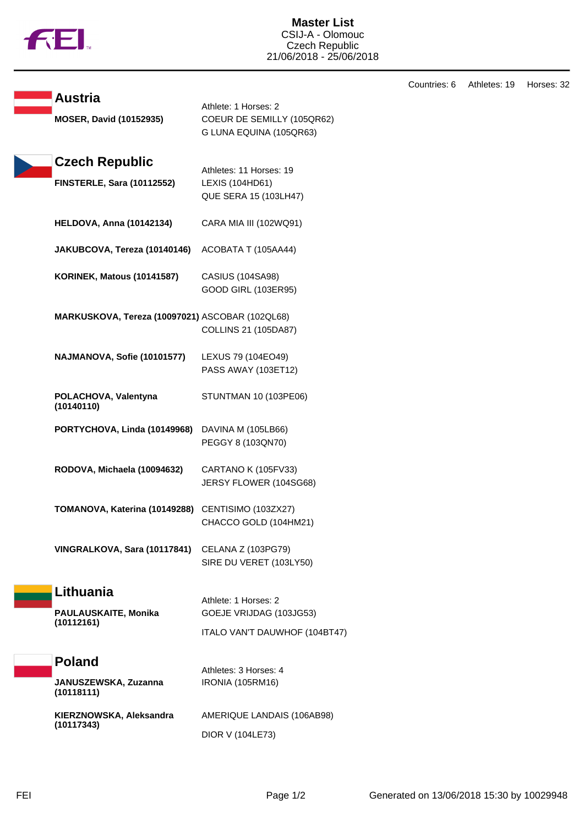

**Master List** CSIJ-A - Olomouc Czech Republic 21/06/2018 - 25/06/2018

**Austria** Athlete: 1 Horses: 2 **MOSER, David (10152935)** COEUR DE SEMILLY (105QR62) G LUNA EQUINA (105QR63) **Czech Republic** Athletes: 11 Horses: 19 **FINSTERLE, Sara (10112552)** LEXIS (104HD61) QUE SERA 15 (103LH47) **HELDOVA, Anna (10142134)** CARA MIA III (102WQ91) **JAKUBCOVA, Tereza (10140146)** ACOBATA T (105AA44) **KORINEK, Matous (10141587)** CASIUS (104SA98) GOOD GIRL (103ER95) **MARKUSKOVA, Tereza (10097021)** ASCOBAR (102QL68) COLLINS 21 (105DA87) **NAJMANOVA, Sofie (10101577)** LEXUS 79 (104EO49) PASS AWAY (103ET12) **POLACHOVA, Valentyna (10140110)** STUNTMAN 10 (103PE06) **PORTYCHOVA, Linda (10149968)** DAVINA M (105LB66) PEGGY 8 (103QN70) **RODOVA, Michaela (10094632)** CARTANO K (105FV33) JERSY FLOWER (104SG68) **TOMANOVA, Katerina (10149288)** CENTISIMO (103ZX27) CHACCO GOLD (104HM21) **VINGRALKOVA, Sara (10117841)** CELANA Z (103PG79) SIRE DU VERET (103LY50) **Lithuania** Athlete: 1 Horses: 2 **PAULAUSKAITE, Monika (10112161)** GOEJE VRIJDAG (103JG53) ITALO VAN'T DAUWHOF (104BT47) **Poland** Athletes: 3 Horses: 4 **JANUSZEWSKA, Zuzanna (10118111)** IRONIA (105RM16) **KIERZNOWSKA, Aleksandra (10117343)** AMERIQUE LANDAIS (106AB98) DIOR V (104LE73)

Countries: 6 Athletes: 19 Horses: 32